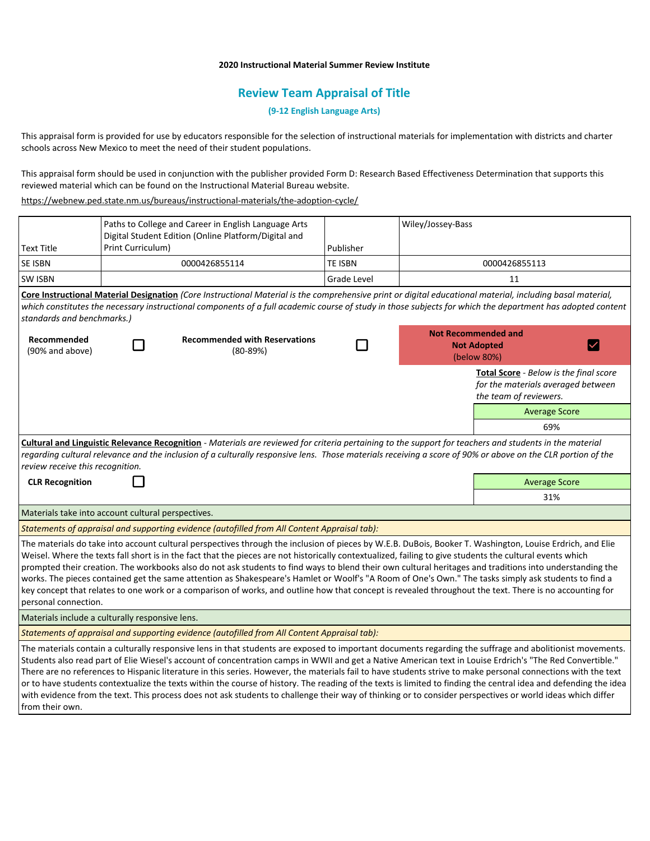### **2020 Instructional Material Summer Review Institute**

# **Review Team Appraisal of Title**

## **(9-12 English Language Arts)**

This appraisal form is provided for use by educators responsible for the selection of instructional materials for implementation with districts and charter schools across New Mexico to meet the need of their student populations.

This appraisal form should be used in conjunction with the publisher provided Form D: Research Based Effectiveness Determination that supports this reviewed material which can be found on the Instructional Material Bureau website.

<https://webnew.ped.state.nm.us/bureaus/instructional-materials/the-adoption-cycle/>

| <b>Text Title</b>                                  | Paths to College and Career in English Language Arts<br>Digital Student Edition (Online Platform/Digital and<br>Print Curriculum) |                                                                                                                                                                                                                                                                                                                                                                                                                                                                                                                                                                                                                                                                                                                                                                                                                           | Publisher          | Wiley/Jossey-Bass                                               |                                                                                                        |  |
|----------------------------------------------------|-----------------------------------------------------------------------------------------------------------------------------------|---------------------------------------------------------------------------------------------------------------------------------------------------------------------------------------------------------------------------------------------------------------------------------------------------------------------------------------------------------------------------------------------------------------------------------------------------------------------------------------------------------------------------------------------------------------------------------------------------------------------------------------------------------------------------------------------------------------------------------------------------------------------------------------------------------------------------|--------------------|-----------------------------------------------------------------|--------------------------------------------------------------------------------------------------------|--|
| <b>SE ISBN</b>                                     |                                                                                                                                   | 0000426855114                                                                                                                                                                                                                                                                                                                                                                                                                                                                                                                                                                                                                                                                                                                                                                                                             | <b>TE ISBN</b>     | 0000426855113                                                   |                                                                                                        |  |
| <b>SW ISBN</b>                                     |                                                                                                                                   |                                                                                                                                                                                                                                                                                                                                                                                                                                                                                                                                                                                                                                                                                                                                                                                                                           | <b>Grade Level</b> |                                                                 | 11                                                                                                     |  |
| standards and benchmarks.)                         |                                                                                                                                   | Core Instructional Material Designation (Core Instructional Material is the comprehensive print or digital educational material, including basal material,<br>which constitutes the necessary instructional components of a full academic course of study in those subjects for which the department has adopted content                                                                                                                                                                                                                                                                                                                                                                                                                                                                                                  |                    |                                                                 |                                                                                                        |  |
| Recommended<br>(90% and above)                     |                                                                                                                                   | <b>Recommended with Reservations</b><br>$(80-89%)$                                                                                                                                                                                                                                                                                                                                                                                                                                                                                                                                                                                                                                                                                                                                                                        |                    | <b>Not Recommended and</b><br><b>Not Adopted</b><br>(below 80%) |                                                                                                        |  |
|                                                    |                                                                                                                                   |                                                                                                                                                                                                                                                                                                                                                                                                                                                                                                                                                                                                                                                                                                                                                                                                                           |                    |                                                                 | Total Score - Below is the final score<br>for the materials averaged between<br>the team of reviewers. |  |
|                                                    |                                                                                                                                   |                                                                                                                                                                                                                                                                                                                                                                                                                                                                                                                                                                                                                                                                                                                                                                                                                           |                    |                                                                 | <b>Average Score</b>                                                                                   |  |
|                                                    |                                                                                                                                   |                                                                                                                                                                                                                                                                                                                                                                                                                                                                                                                                                                                                                                                                                                                                                                                                                           |                    |                                                                 | 69%                                                                                                    |  |
| review receive this recognition.                   |                                                                                                                                   | Cultural and Linguistic Relevance Recognition - Materials are reviewed for criteria pertaining to the support for teachers and students in the material<br>regarding cultural relevance and the inclusion of a culturally responsive lens. Those materials receiving a score of 90% or above on the CLR portion of the                                                                                                                                                                                                                                                                                                                                                                                                                                                                                                    |                    |                                                                 |                                                                                                        |  |
| <b>CLR Recognition</b>                             |                                                                                                                                   |                                                                                                                                                                                                                                                                                                                                                                                                                                                                                                                                                                                                                                                                                                                                                                                                                           |                    |                                                                 | <b>Average Score</b>                                                                                   |  |
|                                                    |                                                                                                                                   |                                                                                                                                                                                                                                                                                                                                                                                                                                                                                                                                                                                                                                                                                                                                                                                                                           |                    |                                                                 | 31%                                                                                                    |  |
| Materials take into account cultural perspectives. |                                                                                                                                   |                                                                                                                                                                                                                                                                                                                                                                                                                                                                                                                                                                                                                                                                                                                                                                                                                           |                    |                                                                 |                                                                                                        |  |
|                                                    |                                                                                                                                   | Statements of appraisal and supporting evidence (autofilled from All Content Appraisal tab):                                                                                                                                                                                                                                                                                                                                                                                                                                                                                                                                                                                                                                                                                                                              |                    |                                                                 |                                                                                                        |  |
| personal connection.                               |                                                                                                                                   | The materials do take into account cultural perspectives through the inclusion of pieces by W.E.B. DuBois, Booker T. Washington, Louise Erdrich, and Elie<br>Weisel. Where the texts fall short is in the fact that the pieces are not historically contextualized, failing to give students the cultural events which<br>prompted their creation. The workbooks also do not ask students to find ways to blend their own cultural heritages and traditions into understanding the<br>works. The pieces contained get the same attention as Shakespeare's Hamlet or Woolf's "A Room of One's Own." The tasks simply ask students to find a<br>key concept that relates to one work or a comparison of works, and outline how that concept is revealed throughout the text. There is no accounting for                     |                    |                                                                 |                                                                                                        |  |
| Materials include a culturally responsive lens.    |                                                                                                                                   |                                                                                                                                                                                                                                                                                                                                                                                                                                                                                                                                                                                                                                                                                                                                                                                                                           |                    |                                                                 |                                                                                                        |  |
|                                                    |                                                                                                                                   | Statements of appraisal and supporting evidence (autofilled from All Content Appraisal tab):                                                                                                                                                                                                                                                                                                                                                                                                                                                                                                                                                                                                                                                                                                                              |                    |                                                                 |                                                                                                        |  |
| from their own.                                    |                                                                                                                                   | The materials contain a culturally responsive lens in that students are exposed to important documents regarding the suffrage and abolitionist movements.<br>Students also read part of Elie Wiesel's account of concentration camps in WWII and get a Native American text in Louise Erdrich's "The Red Convertible."<br>There are no references to Hispanic literature in this series. However, the materials fail to have students strive to make personal connections with the text<br>or to have students contextualize the texts within the course of history. The reading of the texts is limited to finding the central idea and defending the idea<br>with evidence from the text. This process does not ask students to challenge their way of thinking or to consider perspectives or world ideas which differ |                    |                                                                 |                                                                                                        |  |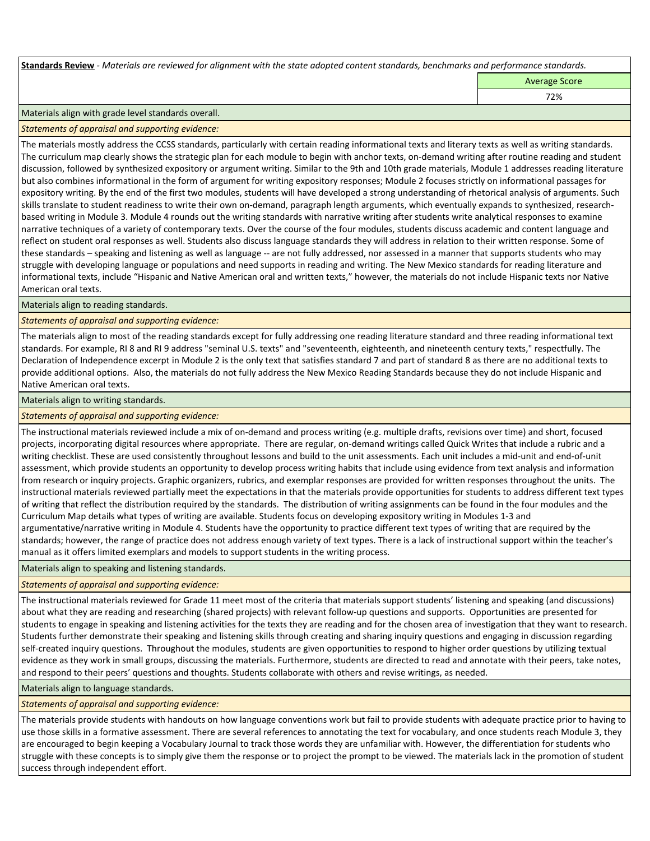**Standards Review** *- Materials are reviewed for alignment with the state adopted content standards, benchmarks and performance standards.*

Average Score

72%

Materials align with grade level standards overall.

*Statements of appraisal and supporting evidence:* 

The materials mostly address the CCSS standards, particularly with certain reading informational texts and literary texts as well as writing standards. The curriculum map clearly shows the strategic plan for each module to begin with anchor texts, on-demand writing after routine reading and student discussion, followed by synthesized expository or argument writing. Similar to the 9th and 10th grade materials, Module 1 addresses reading literature but also combines informational in the form of argument for writing expository responses; Module 2 focuses strictly on informational passages for expository writing. By the end of the first two modules, students will have developed a strong understanding of rhetorical analysis of arguments. Such skills translate to student readiness to write their own on-demand, paragraph length arguments, which eventually expands to synthesized, researchbased writing in Module 3. Module 4 rounds out the writing standards with narrative writing after students write analytical responses to examine narrative techniques of a variety of contemporary texts. Over the course of the four modules, students discuss academic and content language and reflect on student oral responses as well. Students also discuss language standards they will address in relation to their written response. Some of these standards – speaking and listening as well as language -- are not fully addressed, nor assessed in a manner that supports students who may struggle with developing language or populations and need supports in reading and writing. The New Mexico standards for reading literature and informational texts, include "Hispanic and Native American oral and written texts," however, the materials do not include Hispanic texts nor Native American oral texts.

Materials align to reading standards.

*Statements of appraisal and supporting evidence:* 

The materials align to most of the reading standards except for fully addressing one reading literature standard and three reading informational text standards. For example, RI 8 and RI 9 address "seminal U.S. texts" and "seventeenth, eighteenth, and nineteenth century texts," respectfully. The Declaration of Independence excerpt in Module 2 is the only text that satisfies standard 7 and part of standard 8 as there are no additional texts to provide additional options. Also, the materials do not fully address the New Mexico Reading Standards because they do not include Hispanic and Native American oral texts.

Materials align to writing standards.

*Statements of appraisal and supporting evidence:* 

The instructional materials reviewed include a mix of on-demand and process writing (e.g. multiple drafts, revisions over time) and short, focused projects, incorporating digital resources where appropriate. There are regular, on-demand writings called Quick Writes that include a rubric and a writing checklist. These are used consistently throughout lessons and build to the unit assessments. Each unit includes a mid-unit and end-of-unit assessment, which provide students an opportunity to develop process writing habits that include using evidence from text analysis and information from research or inquiry projects. Graphic organizers, rubrics, and exemplar responses are provided for written responses throughout the units. The instructional materials reviewed partially meet the expectations in that the materials provide opportunities for students to address different text types of writing that reflect the distribution required by the standards. The distribution of writing assignments can be found in the four modules and the Curriculum Map details what types of writing are available. Students focus on developing expository writing in Modules 1-3 and argumentative/narrative writing in Module 4. Students have the opportunity to practice different text types of writing that are required by the standards; however, the range of practice does not address enough variety of text types. There is a lack of instructional support within the teacher's manual as it offers limited exemplars and models to support students in the writing process.

Materials align to speaking and listening standards.

*Statements of appraisal and supporting evidence:* 

The instructional materials reviewed for Grade 11 meet most of the criteria that materials support students' listening and speaking (and discussions) about what they are reading and researching (shared projects) with relevant follow-up questions and supports. Opportunities are presented for students to engage in speaking and listening activities for the texts they are reading and for the chosen area of investigation that they want to research. Students further demonstrate their speaking and listening skills through creating and sharing inquiry questions and engaging in discussion regarding self-created inquiry questions. Throughout the modules, students are given opportunities to respond to higher order questions by utilizing textual evidence as they work in small groups, discussing the materials. Furthermore, students are directed to read and annotate with their peers, take notes, and respond to their peers' questions and thoughts. Students collaborate with others and revise writings, as needed.

Materials align to language standards.

*Statements of appraisal and supporting evidence:* 

The materials provide students with handouts on how language conventions work but fail to provide students with adequate practice prior to having to use those skills in a formative assessment. There are several references to annotating the text for vocabulary, and once students reach Module 3, they are encouraged to begin keeping a Vocabulary Journal to track those words they are unfamiliar with. However, the differentiation for students who struggle with these concepts is to simply give them the response or to project the prompt to be viewed. The materials lack in the promotion of student success through independent effort.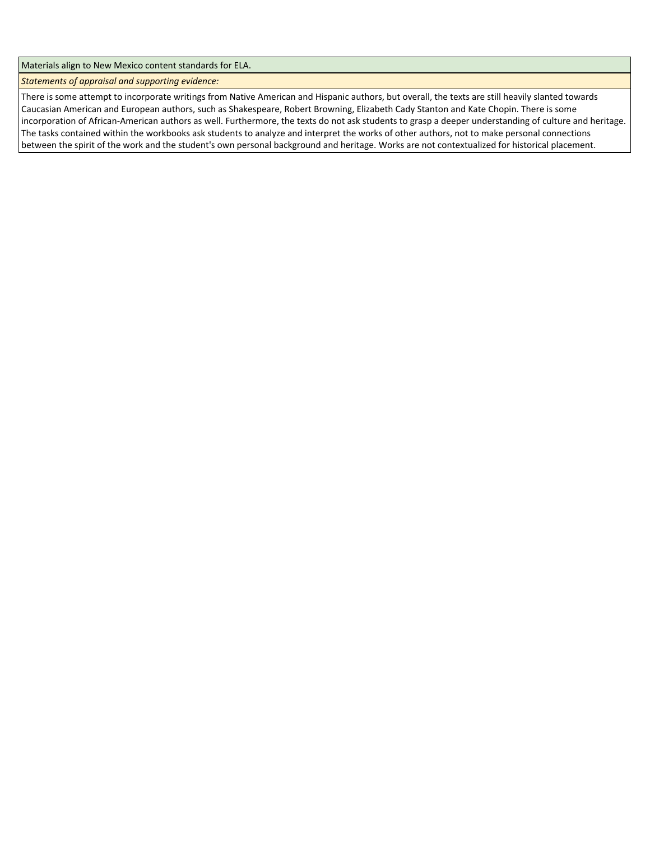Materials align to New Mexico content standards for ELA.

*Statements of appraisal and supporting evidence:* 

There is some attempt to incorporate writings from Native American and Hispanic authors, but overall, the texts are still heavily slanted towards Caucasian American and European authors, such as Shakespeare, Robert Browning, Elizabeth Cady Stanton and Kate Chopin. There is some incorporation of African-American authors as well. Furthermore, the texts do not ask students to grasp a deeper understanding of culture and heritage. The tasks contained within the workbooks ask students to analyze and interpret the works of other authors, not to make personal connections between the spirit of the work and the student's own personal background and heritage. Works are not contextualized for historical placement.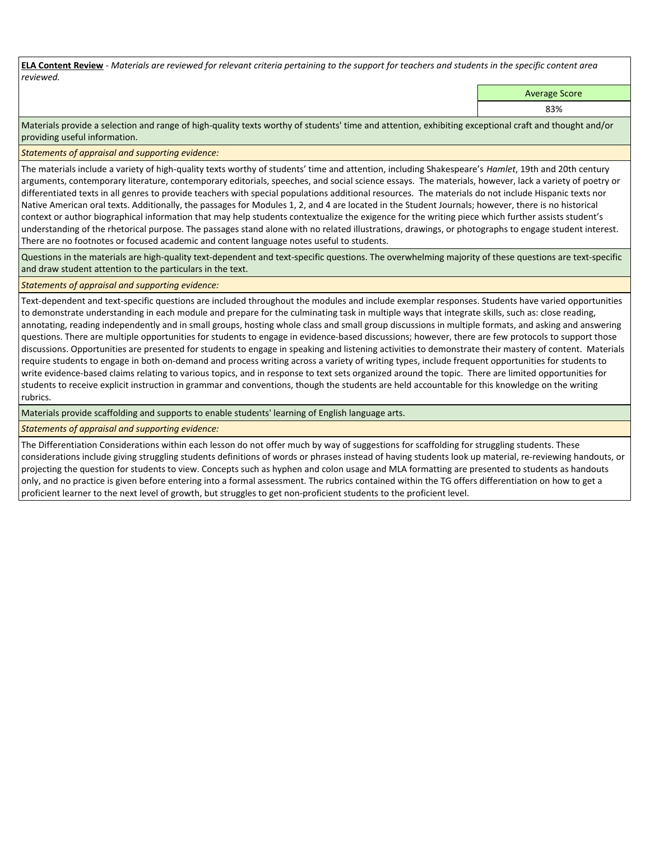**ELA Content Review** *- Materials are reviewed for relevant criteria pertaining to the support for teachers and students in the specific content area reviewed.*

Average Score

83%

Materials provide a selection and range of high-quality texts worthy of students' time and attention, exhibiting exceptional craft and thought and/or providing useful information.

*Statements of appraisal and supporting evidence:* 

The materials include a variety of high-quality texts worthy of students' time and attention, including Shakespeare's *Hamlet*, 19th and 20th century arguments, contemporary literature, contemporary editorials, speeches, and social science essays. The materials, however, lack a variety of poetry or differentiated texts in all genres to provide teachers with special populations additional resources. The materials do not include Hispanic texts nor Native American oral texts. Additionally, the passages for Modules 1, 2, and 4 are located in the Student Journals; however, there is no historical context or author biographical information that may help students contextualize the exigence for the writing piece which further assists student's understanding of the rhetorical purpose. The passages stand alone with no related illustrations, drawings, or photographs to engage student interest. There are no footnotes or focused academic and content language notes useful to students.

Questions in the materials are high-quality text-dependent and text-specific questions. The overwhelming majority of these questions are text-specific and draw student attention to the particulars in the text.

## *Statements of appraisal and supporting evidence:*

Text-dependent and text-specific questions are included throughout the modules and include exemplar responses. Students have varied opportunities to demonstrate understanding in each module and prepare for the culminating task in multiple ways that integrate skills, such as: close reading, annotating, reading independently and in small groups, hosting whole class and small group discussions in multiple formats, and asking and answering questions. There are multiple opportunities for students to engage in evidence-based discussions; however, there are few protocols to support those discussions. Opportunities are presented for students to engage in speaking and listening activities to demonstrate their mastery of content. Materials require students to engage in both on-demand and process writing across a variety of writing types, include frequent opportunities for students to write evidence-based claims relating to various topics, and in response to text sets organized around the topic. There are limited opportunities for students to receive explicit instruction in grammar and conventions, though the students are held accountable for this knowledge on the writing rubrics.

Materials provide scaffolding and supports to enable students' learning of English language arts.

*Statements of appraisal and supporting evidence:* 

The Differentiation Considerations within each lesson do not offer much by way of suggestions for scaffolding for struggling students. These considerations include giving struggling students definitions of words or phrases instead of having students look up material, re-reviewing handouts, or projecting the question for students to view. Concepts such as hyphen and colon usage and MLA formatting are presented to students as handouts only, and no practice is given before entering into a formal assessment. The rubrics contained within the TG offers differentiation on how to get a proficient learner to the next level of growth, but struggles to get non-proficient students to the proficient level.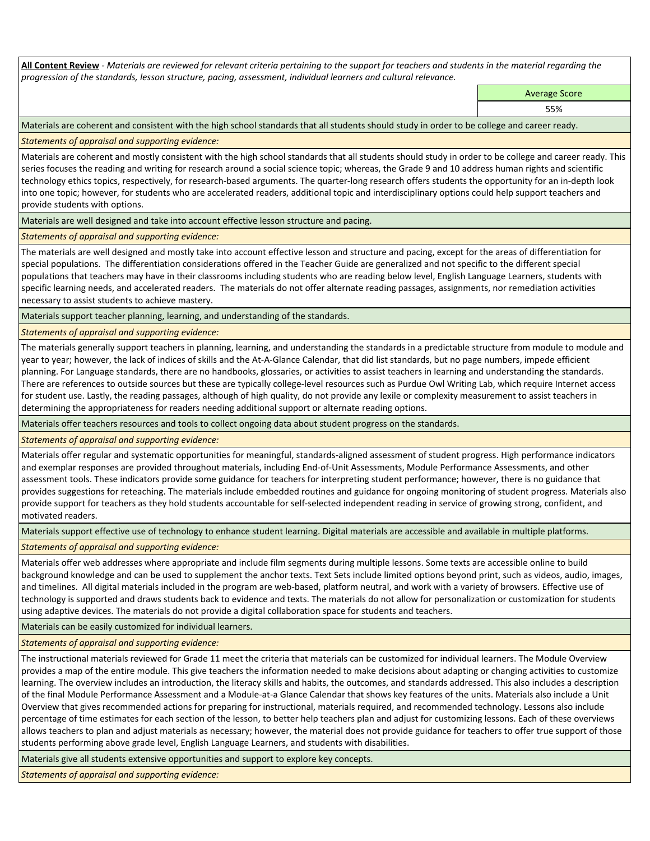**All Content Review** *- Materials are reviewed for relevant criteria pertaining to the support for teachers and students in the material regarding the progression of the standards, lesson structure, pacing, assessment, individual learners and cultural relevance.*

> Average Score 55%

Materials are coherent and consistent with the high school standards that all students should study in order to be college and career ready.

*Statements of appraisal and supporting evidence:*

Materials are coherent and mostly consistent with the high school standards that all students should study in order to be college and career ready. This series focuses the reading and writing for research around a social science topic; whereas, the Grade 9 and 10 address human rights and scientific technology ethics topics, respectively, for research-based arguments. The quarter-long research offers students the opportunity for an in-depth look into one topic; however, for students who are accelerated readers, additional topic and interdisciplinary options could help support teachers and provide students with options.

Materials are well designed and take into account effective lesson structure and pacing.

# *Statements of appraisal and supporting evidence:*

The materials are well designed and mostly take into account effective lesson and structure and pacing, except for the areas of differentiation for special populations. The differentiation considerations offered in the Teacher Guide are generalized and not specific to the different special populations that teachers may have in their classrooms including students who are reading below level, English Language Learners, students with specific learning needs, and accelerated readers. The materials do not offer alternate reading passages, assignments, nor remediation activities necessary to assist students to achieve mastery.

Materials support teacher planning, learning, and understanding of the standards.

*Statements of appraisal and supporting evidence:*

The materials generally support teachers in planning, learning, and understanding the standards in a predictable structure from module to module and year to year; however, the lack of indices of skills and the At-A-Glance Calendar, that did list standards, but no page numbers, impede efficient planning. For Language standards, there are no handbooks, glossaries, or activities to assist teachers in learning and understanding the standards. There are references to outside sources but these are typically college-level resources such as Purdue Owl Writing Lab, which require Internet access for student use. Lastly, the reading passages, although of high quality, do not provide any lexile or complexity measurement to assist teachers in determining the appropriateness for readers needing additional support or alternate reading options.

Materials offer teachers resources and tools to collect ongoing data about student progress on the standards.

*Statements of appraisal and supporting evidence:*

Materials offer regular and systematic opportunities for meaningful, standards-aligned assessment of student progress. High performance indicators and exemplar responses are provided throughout materials, including End-of-Unit Assessments, Module Performance Assessments, and other assessment tools. These indicators provide some guidance for teachers for interpreting student performance; however, there is no guidance that provides suggestions for reteaching. The materials include embedded routines and guidance for ongoing monitoring of student progress. Materials also provide support for teachers as they hold students accountable for self-selected independent reading in service of growing strong, confident, and motivated readers.

Materials support effective use of technology to enhance student learning. Digital materials are accessible and available in multiple platforms.

*Statements of appraisal and supporting evidence:*

Materials offer web addresses where appropriate and include film segments during multiple lessons. Some texts are accessible online to build background knowledge and can be used to supplement the anchor texts. Text Sets include limited options beyond print, such as videos, audio, images, and timelines. All digital materials included in the program are web-based, platform neutral, and work with a variety of browsers. Effective use of technology is supported and draws students back to evidence and texts. The materials do not allow for personalization or customization for students using adaptive devices. The materials do not provide a digital collaboration space for students and teachers.

Materials can be easily customized for individual learners.

*Statements of appraisal and supporting evidence:* 

The instructional materials reviewed for Grade 11 meet the criteria that materials can be customized for individual learners. The Module Overview provides a map of the entire module. This give teachers the information needed to make decisions about adapting or changing activities to customize learning. The overview includes an introduction, the literacy skills and habits, the outcomes, and standards addressed. This also includes a description of the final Module Performance Assessment and a Module-at-a Glance Calendar that shows key features of the units. Materials also include a Unit Overview that gives recommended actions for preparing for instructional, materials required, and recommended technology. Lessons also include percentage of time estimates for each section of the lesson, to better help teachers plan and adjust for customizing lessons. Each of these overviews allows teachers to plan and adjust materials as necessary; however, the material does not provide guidance for teachers to offer true support of those students performing above grade level, English Language Learners, and students with disabilities.

Materials give all students extensive opportunities and support to explore key concepts.

*Statements of appraisal and supporting evidence:*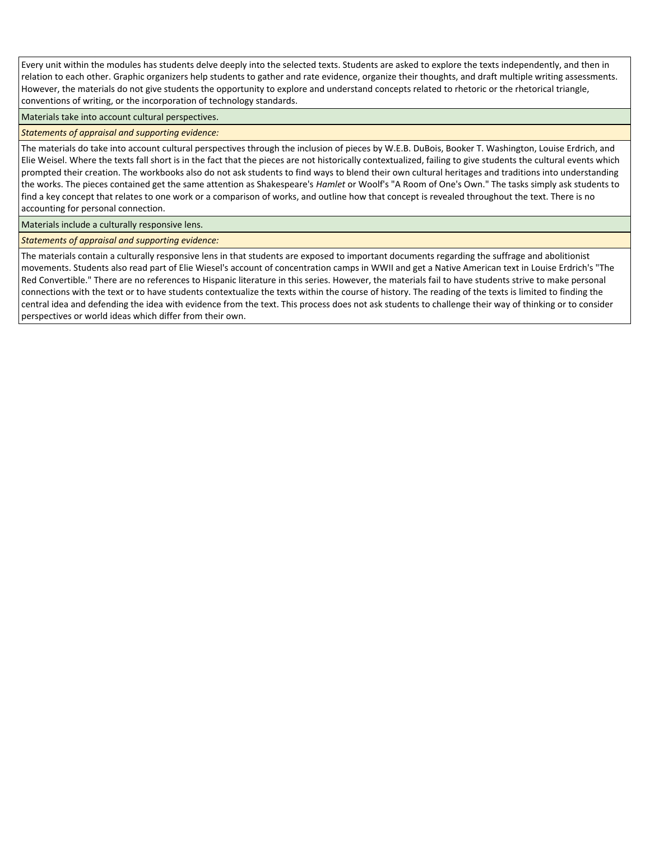Every unit within the modules has students delve deeply into the selected texts. Students are asked to explore the texts independently, and then in relation to each other. Graphic organizers help students to gather and rate evidence, organize their thoughts, and draft multiple writing assessments. However, the materials do not give students the opportunity to explore and understand concepts related to rhetoric or the rhetorical triangle, conventions of writing, or the incorporation of technology standards.

Materials take into account cultural perspectives.

## *Statements of appraisal and supporting evidence:*

The materials do take into account cultural perspectives through the inclusion of pieces by W.E.B. DuBois, Booker T. Washington, Louise Erdrich, and Elie Weisel. Where the texts fall short is in the fact that the pieces are not historically contextualized, failing to give students the cultural events which prompted their creation. The workbooks also do not ask students to find ways to blend their own cultural heritages and traditions into understanding the works. The pieces contained get the same attention as Shakespeare's *Hamlet* or Woolf's "A Room of One's Own." The tasks simply ask students to find a key concept that relates to one work or a comparison of works, and outline how that concept is revealed throughout the text. There is no accounting for personal connection.

Materials include a culturally responsive lens.

*Statements of appraisal and supporting evidence:*

The materials contain a culturally responsive lens in that students are exposed to important documents regarding the suffrage and abolitionist movements. Students also read part of Elie Wiesel's account of concentration camps in WWII and get a Native American text in Louise Erdrich's "The Red Convertible." There are no references to Hispanic literature in this series. However, the materials fail to have students strive to make personal connections with the text or to have students contextualize the texts within the course of history. The reading of the texts is limited to finding the central idea and defending the idea with evidence from the text. This process does not ask students to challenge their way of thinking or to consider perspectives or world ideas which differ from their own.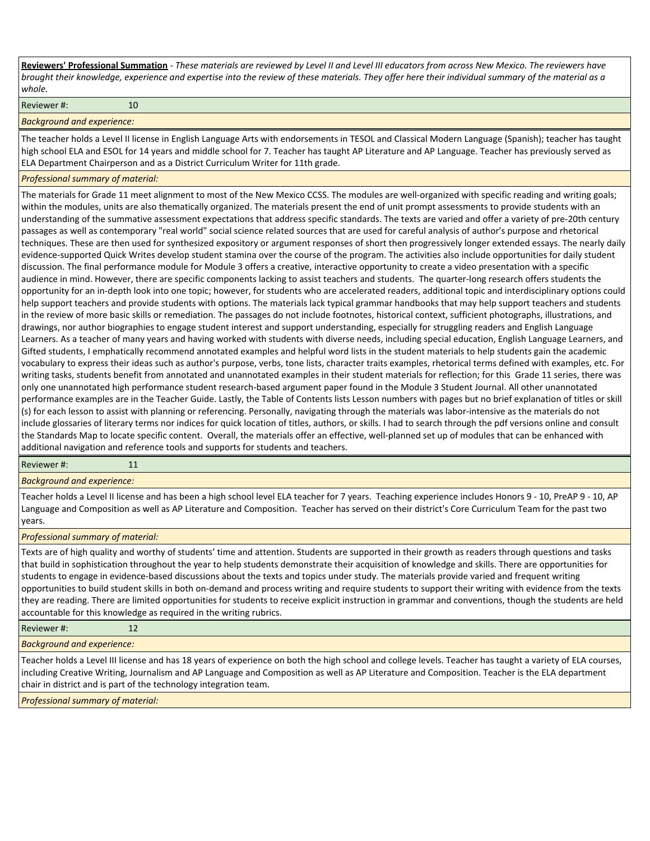**Reviewers' Professional Summation** *- These materials are reviewed by Level II and Level III educators from across New Mexico. The reviewers have brought their knowledge, experience and expertise into the review of these materials. They offer here their individual summary of the material as a whole.*

Reviewer #: 10

*Background and experience:*

The teacher holds a Level II license in English Language Arts with endorsements in TESOL and Classical Modern Language (Spanish); teacher has taught high school ELA and ESOL for 14 years and middle school for 7. Teacher has taught AP Literature and AP Language. Teacher has previously served as ELA Department Chairperson and as a District Curriculum Writer for 11th grade.

#### *Professional summary of material:*

The materials for Grade 11 meet alignment to most of the New Mexico CCSS. The modules are well-organized with specific reading and writing goals; within the modules, units are also thematically organized. The materials present the end of unit prompt assessments to provide students with an understanding of the summative assessment expectations that address specific standards. The texts are varied and offer a variety of pre-20th century passages as well as contemporary "real world" social science related sources that are used for careful analysis of author's purpose and rhetorical techniques. These are then used for synthesized expository or argument responses of short then progressively longer extended essays. The nearly daily evidence-supported Quick Writes develop student stamina over the course of the program. The activities also include opportunities for daily student discussion. The final performance module for Module 3 offers a creative, interactive opportunity to create a video presentation with a specific audience in mind. However, there are specific components lacking to assist teachers and students. The quarter-long research offers students the opportunity for an in-depth look into one topic; however, for students who are accelerated readers, additional topic and interdisciplinary options could help support teachers and provide students with options. The materials lack typical grammar handbooks that may help support teachers and students in the review of more basic skills or remediation. The passages do not include footnotes, historical context, sufficient photographs, illustrations, and drawings, nor author biographies to engage student interest and support understanding, especially for struggling readers and English Language Learners. As a teacher of many years and having worked with students with diverse needs, including special education, English Language Learners, and Gifted students, I emphatically recommend annotated examples and helpful word lists in the student materials to help students gain the academic vocabulary to express their ideas such as author's purpose, verbs, tone lists, character traits examples, rhetorical terms defined with examples, etc. For writing tasks, students benefit from annotated and unannotated examples in their student materials for reflection; for this Grade 11 series, there was only one unannotated high performance student research-based argument paper found in the Module 3 Student Journal. All other unannotated performance examples are in the Teacher Guide. Lastly, the Table of Contents lists Lesson numbers with pages but no brief explanation of titles or skill (s) for each lesson to assist with planning or referencing. Personally, navigating through the materials was labor-intensive as the materials do not include glossaries of literary terms nor indices for quick location of titles, authors, or skills. I had to search through the pdf versions online and consult the Standards Map to locate specific content. Overall, the materials offer an effective, well-planned set up of modules that can be enhanced with additional navigation and reference tools and supports for students and teachers.

#### Reviewer #: 11

*Background and experience:*

Teacher holds a Level II license and has been a high school level ELA teacher for 7 years. Teaching experience includes Honors 9 - 10, PreAP 9 - 10, AP Language and Composition as well as AP Literature and Composition. Teacher has served on their district's Core Curriculum Team for the past two years.

#### *Professional summary of material:*

Texts are of high quality and worthy of students' time and attention. Students are supported in their growth as readers through questions and tasks that build in sophistication throughout the year to help students demonstrate their acquisition of knowledge and skills. There are opportunities for students to engage in evidence-based discussions about the texts and topics under study. The materials provide varied and frequent writing opportunities to build student skills in both on-demand and process writing and require students to support their writing with evidence from the texts they are reading. There are limited opportunities for students to receive explicit instruction in grammar and conventions, though the students are held accountable for this knowledge as required in the writing rubrics.

| Reviewer#: | 12 |
|------------|----|
|------------|----|

*Background and experience:*

Teacher holds a Level III license and has 18 years of experience on both the high school and college levels. Teacher has taught a variety of ELA courses, including Creative Writing, Journalism and AP Language and Composition as well as AP Literature and Composition. Teacher is the ELA department chair in district and is part of the technology integration team.

*Professional summary of material:*